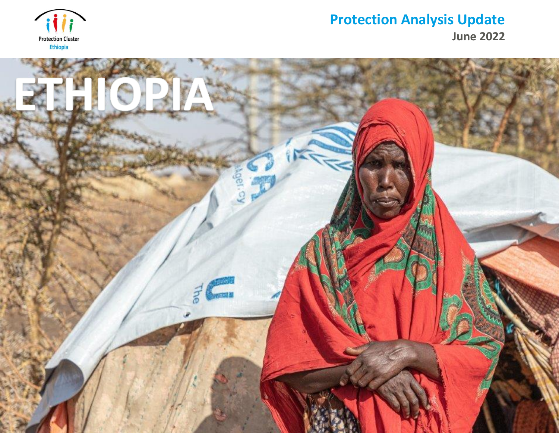

# **Protection Analysis Update**

**June 2022**

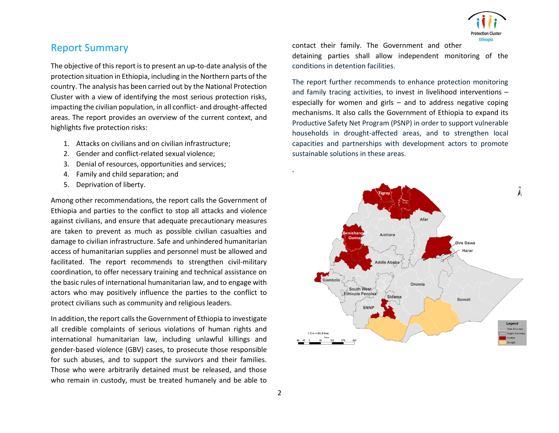

# Report Summary

The objective of this report is to present an up-to-date analysis of the protection situation in Ethiopia, including in the Northern parts of the country. The analysis has been carried out by the National Protection Cluster with a view of identifying the most serious protection risks, impacting the civilian population, in all conflict- and drought-affected areas. The report provides an overview of the current context, and highlights five protection risks:

- 1. Attacks on civilians and on civilian infrastructure;
- 2. Gender and conflict-related sexual violence;
- 3. Denial of resources, opportunities and services;
- 4. Family and child separation; and
- 5. Deprivation of liberty.

Among other recommendations, the report calls the Government of Ethiopia and parties to the conflict to stop all attacks and violence against civilians, and ensure that adequate precautionary measures are taken to prevent as much as possible civilian casualties and damage to civilian infrastructure. Safe and unhindered humanitarian access of humanitarian supplies and personnel must be allowed and facilitated. The report recommends to strengthen civil-military coordination, to offer necessary training and technical assistance on the basic rules of international humanitarian law, and to engage with actors who may positively influence the parties to the conflict to protect civilians such as community and religious leaders.

In addition, the report calls the Government of Ethiopia to investigate all credible complaints of serious violations of human rights and international humanitarian law, including unlawful killings and gender-based violence (GBV) cases, to prosecute those responsible for such abuses, and to support the survivors and their families. Those who were arbitrarily detained must be released, and those who remain in custody, must be treated humanely and be able to

contact their family. The Government and other

detaining parties shall allow independent monitoring of the conditions in detention facilities.

The report further recommends to enhance protection monitoring and family tracing activities, to invest in livelihood interventions – especially for women and girls – and to address negative coping mechanisms. It also calls the Government of Ethiopia to expand its Productive Safety Net Program (PSNP) in order to support vulnerable households in drought-affected areas, and to strengthen local capacities and partnerships with development actors to promote sustainable solutions in these areas.

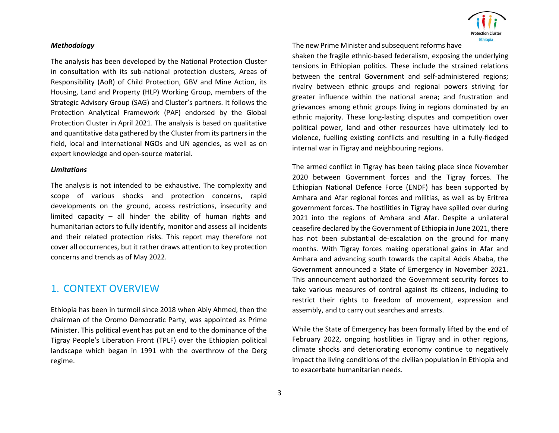#### *Methodology*

The analysis has been developed by the National Protection Cluster in consultation with its sub-national protection clusters, Areas of Responsibility (AoR) of Child Protection, GBV and Mine Action, its Housing, Land and Property (HLP) Working Group, members of the Strategic Advisory Group (SAG) and Cluster's partners. It follows the Protection Analytical Framework (PAF) endorsed by the Global Protection Cluster in April 2021. The analysis is based on qualitative and quantitative data gathered by the Cluster from its partners in the field, local and international NGOs and UN agencies, as well as on expert knowledge and open-source material.

#### *Limitations*

The analysis is not intended to be exhaustive. The complexity and scope of various shocks and protection concerns, rapid developments on the ground, access restrictions, insecurity and limited capacity – all hinder the ability of human rights and humanitarian actors to fully identify, monitor and assess all incidents and their related protection risks. This report may therefore not cover all occurrences, but it rather draws attention to key protection concerns and trends as of May 2022.

## 1. CONTEXT OVERVIEW

Ethiopia has been in turmoil since 2018 when Abiy Ahmed, then the chairman of the Oromo Democratic Party, was appointed as Prime Minister. This political event has put an end to the dominance of the Tigray People's Liberation Front (TPLF) over the Ethiopian political landscape which began in 1991 with the overthrow of the Derg regime.



The new Prime Minister and subsequent reforms have

shaken the fragile ethnic-based federalism, exposing the underlying tensions in Ethiopian politics. These include the strained relations between the central Government and self-administered regions; rivalry between ethnic groups and regional powers striving for greater influence within the national arena; and frustration and grievances among ethnic groups living in regions dominated by an ethnic majority. These long-lasting disputes and competition over political power, land and other resources have ultimately led to violence, fuelling existing conflicts and resulting in a fully-fledged internal war in Tigray and neighbouring regions.

The armed conflict in Tigray has been taking place since November 2020 between Government forces and the Tigray forces. The Ethiopian National Defence Force (ENDF) has been supported by Amhara and Afar regional forces and militias, as well as by Eritrea government forces. The hostilities in Tigray have spilled over during 2021 into the regions of Amhara and Afar. Despite a unilateral ceasefire declared by the Government of Ethiopia in June 2021, there has not been substantial de-escalation on the ground for many months. With Tigray forces making operational gains in Afar and Amhara and advancing south towards the capital Addis Ababa, the Government announced a State of Emergency in November 2021. This announcement authorized the Government security forces to take various measures of control against its citizens, including to restrict their rights to freedom of movement, expression and assembly, and to carry out searches and arrests.

While the State of Emergency has been formally lifted by the end of February 2022, ongoing hostilities in Tigray and in other regions, climate shocks and deteriorating economy continue to negatively impact the living conditions of the civilian population in Ethiopia and to exacerbate humanitarian needs.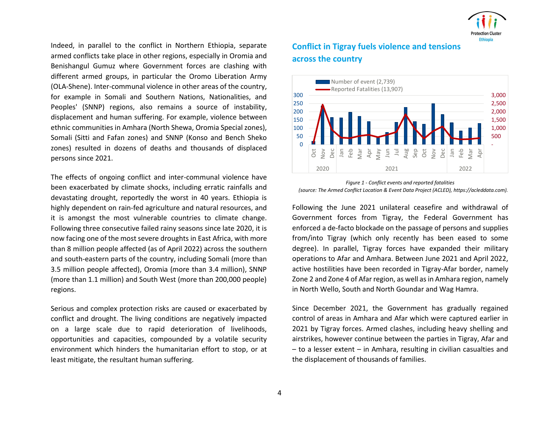

Indeed, in parallel to the conflict in Northern Ethiopia, separate armed conflicts take place in other regions, especially in Oromia and Benishangul Gumuz where Government forces are clashing with different armed groups, in particular the Oromo Liberation Army (OLA-Shene). Inter-communal violence in other areas of the country, for example in Somali and Southern Nations, Nationalities, and Peoples' (SNNP) regions, also remains a source of instability, displacement and human suffering. For example, violence between ethnic communities in Amhara (North Shewa, Oromia Special zones), Somali (Sitti and Fafan zones) and SNNP (Konso and Bench Sheko zones) resulted in dozens of deaths and thousands of displaced persons since 2021.

The effects of ongoing conflict and inter-communal violence have been exacerbated by climate shocks, including erratic rainfalls and devastating drought, reportedly the worst in 40 years. Ethiopia is highly dependent on rain-fed agriculture and natural resources, and it is amongst the most vulnerable countries to climate change. Following three consecutive failed rainy seasons since late 2020, it is now facing one of the most severe droughts in East Africa, with more than 8 million people affected (as of April 2022) across the southern and south-eastern parts of the country, including Somali (more than 3.5 million people affected), Oromia (more than 3.4 million), SNNP (more than 1.1 million) and South West (more than 200,000 people) regions.

Serious and complex protection risks are caused or exacerbated by conflict and drought. The living conditions are negatively impacted on a large scale due to rapid deterioration of livelihoods, opportunities and capacities, compounded by a volatile security environment which hinders the humanitarian effort to stop, or at least mitigate, the resultant human suffering.

# **Conflict in Tigray fuels violence and tensions across the country**



*Figure 1 - Conflict events and reported fatalities (source: The Armed Conflict Location & Event Data Project (ACLED), https://acleddata.com).*

Following the June 2021 unilateral ceasefire and withdrawal of Government forces from Tigray, the Federal Government has enforced a de-facto blockade on the passage of persons and supplies from/into Tigray (which only recently has been eased to some degree). In parallel, Tigray forces have expanded their military operations to Afar and Amhara. Between June 2021 and April 2022, active hostilities have been recorded in Tigray-Afar border, namely Zone 2 and Zone 4 of Afar region, as well as in Amhara region, namely in North Wello, South and North Goundar and Wag Hamra.

Since December 2021, the Government has gradually regained control of areas in Amhara and Afar which were captured earlier in 2021 by Tigray forces. Armed clashes, including heavy shelling and airstrikes, however continue between the parties in Tigray, Afar and – to a lesser extent – in Amhara, resulting in civilian casualties and the displacement of thousands of families.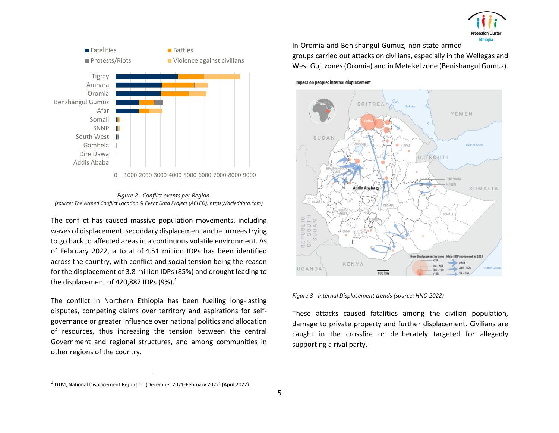





The conflict has caused massive population movements, including waves of displacement, secondary displacement and returnees trying to go back to affected areas in a continuous volatile environment. As of February 2022, a total of 4.51 million IDPs has been identified across the country, with conflict and social tension being the reason for the displacement of 3.8 million IDPs (85%) and drought leading to the displacement of 420,887 IDPs  $(9\%)$ .<sup>1</sup>

The conflict in Northern Ethiopia has been fuelling long-lasting disputes, competing claims over territory and aspirations for selfgovernance or greater influence over national politics and allocation of resources, thus increasing the tension between the central Government and regional structures, and among communities in other regions of the country.

In Oromia and Benishangul Gumuz, non-state armed groups carried out attacks on civilians, especially in the Wellegas and West Guji zones (Oromia) and in Metekel zone (Benishangul Gumuz).

Impact on people: internal displacement



*Figure 3 - Internal Displacement trends (source: HNO 2022)*

These attacks caused fatalities among the civilian population, damage to private property and further displacement. Civilians are caught in the crossfire or deliberately targeted for allegedly supporting a rival party.

<sup>1</sup> DTM, National Displacement Report 11 (December 2021-February 2022) (April 2022).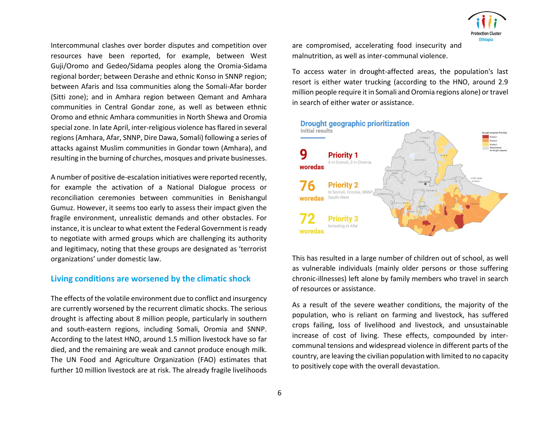Intercommunal clashes over border disputes and competition over resources have been reported, for example, between West Guji/Oromo and Gedeo/Sidama peoples along the Oromia-Sidama regional border; between Derashe and ethnic Konso in SNNP region; between Afaris and Issa communities along the Somali-Afar border (Sitti zone); and in Amhara region between Qemant and Amhara communities in Central Gondar zone, as well as between ethnic Oromo and ethnic Amhara communities in North Shewa and Oromia special zone. In late April, inter-religious violence has flared in several regions (Amhara, Afar, SNNP, Dire Dawa, Somali) following a series of attacks against Muslim communities in Gondar town (Amhara), and resulting in the burning of churches, mosques and private businesses.

A number of positive de-escalation initiatives were reported recently, for example the activation of a National Dialogue process or reconciliation ceremonies between communities in Benishangul Gumuz. However, it seems too early to assess their impact given the fragile environment, unrealistic demands and other obstacles. For instance, it is unclear to what extent the Federal Government is ready to negotiate with armed groups which are challenging its authority and legitimacy, noting that these groups are designated as 'terrorist organizations' under domestic law.

### **Living conditions are worsened by the climatic shock**

The effects of the volatile environment due to conflict and insurgency are currently worsened by the recurrent climatic shocks. The serious drought is affecting about 8 million people, particularly in southern and south-eastern regions, including Somali, Oromia and SNNP. According to the latest HNO, around 1.5 million livestock have so far died, and the remaining are weak and cannot produce enough milk. The UN Food and Agriculture Organization (FAO) estimates that further 10 million livestock are at risk. The already fragile livelihoods are compromised, accelerating food insecurity and malnutrition, as well as inter-communal violence.

To access water in drought-affected areas, the population's last resort is either water trucking (according to the HNO, around 2.9 million people require it in Somali and Oromia regions alone) or travel in search of either water or assistance.



This has resulted in a large number of children out of school, as well as vulnerable individuals (mainly older persons or those suffering chronic-illnesses) left alone by family members who travel in search of resources or assistance.

As a result of the severe weather conditions, the majority of the population, who is reliant on farming and livestock, has suffered crops failing, loss of livelihood and livestock, and unsustainable increase of cost of living. These effects, compounded by intercommunal tensions and widespread violence in different parts of the country, are leaving the civilian population with limited to no capacity to positively cope with the overall devastation.

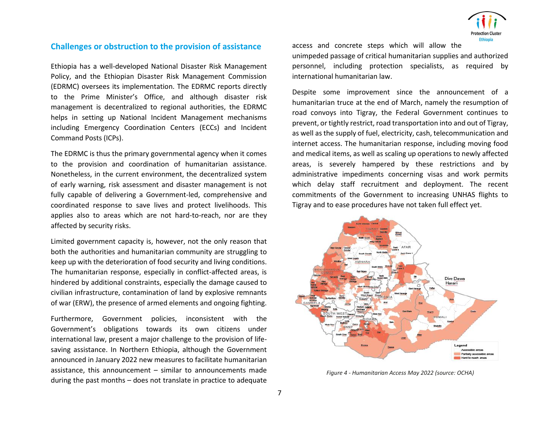

### **Challenges or obstruction to the provision of assistance**

Ethiopia has a well-developed National Disaster Risk Management Policy, and the Ethiopian Disaster Risk Management Commission (EDRMC) oversees its implementation. The EDRMC reports directly to the Prime Minister's Office, and although disaster risk management is decentralized to regional authorities, the EDRMC helps in setting up National Incident Management mechanisms including Emergency Coordination Centers (ECCs) and Incident Command Posts (ICPs).

The EDRMC is thus the primary governmental agency when it comes to the provision and coordination of humanitarian assistance. Nonetheless, in the current environment, the decentralized system of early warning, risk assessment and disaster management is not fully capable of delivering a Government-led, comprehensive and coordinated response to save lives and protect livelihoods. This applies also to areas which are not hard-to-reach, nor are they affected by security risks.

Limited government capacity is, however, not the only reason that both the authorities and humanitarian community are struggling to keep up with the deterioration of food security and living conditions. The humanitarian response, especially in conflict-affected areas, is hindered by additional constraints, especially the damage caused to civilian infrastructure, contamination of land by explosive remnants of war (ERW), the presence of armed elements and ongoing fighting.

Furthermore, Government policies, inconsistent with the Government's obligations towards its own citizens under international law, present a major challenge to the provision of lifesaving assistance. In Northern Ethiopia, although the Government announced in January 2022 new measures to facilitate humanitarian assistance, this announcement – similar to announcements made during the past months – does not translate in practice to adequate access and concrete steps which will allow the unimpeded passage of critical humanitarian supplies and authorized personnel, including protection specialists, as required by international humanitarian law.

Despite some improvement since the announcement of a humanitarian truce at the end of March, namely the resumption of road convoys into Tigray, the Federal Government continues to prevent, or tightly restrict, road transportation into and out of Tigray, as well as the supply of fuel, electricity, cash, telecommunication and internet access. The humanitarian response, including moving food and medical items, as well as scaling up operations to newly affected areas, is severely hampered by these restrictions and by administrative impediments concerning visas and work permits which delay staff recruitment and deployment. The recent commitments of the Government to increasing UNHAS flights to Tigray and to ease procedures have not taken full effect yet.



*Figure 4 - Humanitarian Access May 2022 (source: OCHA)*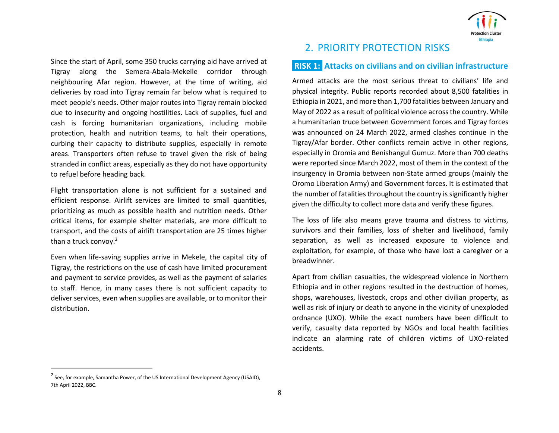Since the start of April, some 350 trucks carrying aid have arrived at Tigray along the Semera-Abala-Mekelle corridor through neighbouring Afar region. However, at the time of writing, aid deliveries by road into Tigray remain far below what is required to meet people's needs. Other major routes into Tigray remain blocked due to insecurity and ongoing hostilities. Lack of supplies, fuel and cash is forcing humanitarian organizations, including mobile protection, health and nutrition teams, to halt their operations, curbing their capacity to distribute supplies, especially in remote areas. Transporters often refuse to travel given the risk of being stranded in conflict areas, especially as they do not have opportunity to refuel before heading back.

Flight transportation alone is not sufficient for a sustained and efficient response. Airlift services are limited to small quantities, prioritizing as much as possible health and nutrition needs. Other critical items, for example shelter materials, are more difficult to transport, and the costs of airlift transportation are 25 times higher than a truck convoy.<sup>2</sup>

Even when life-saving supplies arrive in Mekele, the capital city of Tigray, the restrictions on the use of cash have limited procurement and payment to service provides, as well as the payment of salaries to staff. Hence, in many cases there is not sufficient capacity to deliver services, even when supplies are available, or to monitor their distribution.



# 2. PRIORITY PROTECTION RISKS

### **RISK 1: Attacks on civilians and on civilian infrastructure**

Armed attacks are the most serious threat to civilians' life and physical integrity. Public reports recorded about 8,500 fatalities in Ethiopia in 2021, and more than 1,700 fatalities between January and May of 2022 as a result of political violence across the country. While a humanitarian truce between Government forces and Tigray forces was announced on 24 March 2022, armed clashes continue in the Tigray/Afar border. Other conflicts remain active in other regions, especially in Oromia and Benishangul Gumuz. More than 700 deaths were reported since March 2022, most of them in the context of the insurgency in Oromia between non-State armed groups (mainly the Oromo Liberation Army) and Government forces. It is estimated that the number of fatalities throughout the country is significantly higher given the difficulty to collect more data and verify these figures.

The loss of life also means grave trauma and distress to victims, survivors and their families, loss of shelter and livelihood, family separation, as well as increased exposure to violence and exploitation, for example, of those who have lost a caregiver or a breadwinner.

Apart from civilian casualties, the widespread violence in Northern Ethiopia and in other regions resulted in the destruction of homes, shops, warehouses, livestock, crops and other civilian property, as well as risk of injury or death to anyone in the vicinity of unexploded ordnance (UXO). While the exact numbers have been difficult to verify, casualty data reported by NGOs and local health facilities indicate an alarming rate of children victims of UXO-related accidents.

<sup>&</sup>lt;sup>2</sup> See, for example, Samantha Power, of the US International Development Agency (USAID), 7th April 2022, BBC.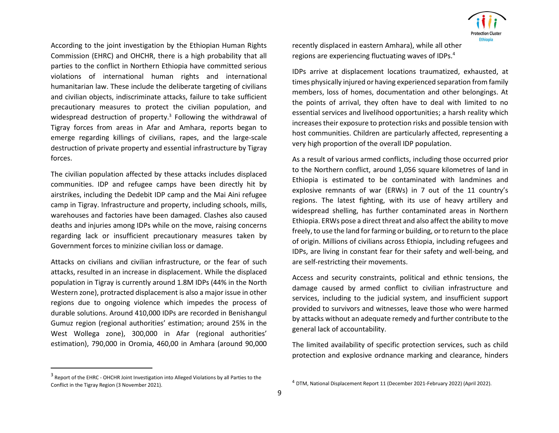According to the joint investigation by the Ethiopian Human Rights Commission (EHRC) and OHCHR, there is a high probability that all parties to the conflict in Northern Ethiopia have committed serious violations of international human rights and international humanitarian law. These include the deliberate targeting of civilians and civilian objects, indiscriminate attacks, failure to take sufficient precautionary measures to protect the civilian population, and widespread destruction of property.<sup>3</sup> Following the withdrawal of Tigray forces from areas in Afar and Amhara, reports began to emerge regarding killings of civilians, rapes, and the large-scale destruction of private property and essential infrastructure by Tigray forces.

The civilian population affected by these attacks includes displaced communities. IDP and refugee camps have been directly hit by airstrikes, including the Dedebit IDP camp and the Mai Aini refugee camp in Tigray. Infrastructure and property, including schools, mills, warehouses and factories have been damaged. Clashes also caused deaths and injuries among IDPs while on the move, raising concerns regarding lack or insufficient precautionary measures taken by Government forces to minizine civilian loss or damage.

Attacks on civilians and civilian infrastructure, or the fear of such attacks, resulted in an increase in displacement. While the displaced population in Tigray is currently around 1.8M IDPs (44% in the North Western zone), protracted displacement is also a major issue in other regions due to ongoing violence which impedes the process of durable solutions. Around 410,000 IDPs are recorded in Benishangul Gumuz region (regional authorities' estimation; around 25% in the West Wollega zone), 300,000 in Afar (regional authorities' estimation), 790,000 in Oromia, 460,00 in Amhara (around 90,000

recently displaced in eastern Amhara), while all other regions are experiencing fluctuating waves of IDPs.<sup>4</sup>

IDPs arrive at displacement locations traumatized, exhausted, at times physically injured or having experienced separation from family members, loss of homes, documentation and other belongings. At the points of arrival, they often have to deal with limited to no essential services and livelihood opportunities; a harsh reality which increases their exposure to protection risks and possible tension with host communities. Children are particularly affected, representing a very high proportion of the overall IDP population.

As a result of various armed conflicts, including those occurred prior to the Northern conflict, around 1,056 square kilometres of land in Ethiopia is estimated to be contaminated with landmines and explosive remnants of war (ERWs) in 7 out of the 11 country's regions. The latest fighting, with its use of heavy artillery and widespread shelling, has further contaminated areas in Northern Ethiopia. ERWs pose a direct threat and also affect the ability to move freely, to use the land for farming or building, or to return to the place of origin. Millions of civilians across Ethiopia, including refugees and IDPs, are living in constant fear for their safety and well-being, and are self-restricting their movements.

Access and security constraints, political and ethnic tensions, the damage caused by armed conflict to civilian infrastructure and services, including to the judicial system, and insufficient support provided to survivors and witnesses, leave those who were harmed by attacks without an adequate remedy and further contribute to the general lack of accountability.

The limited availability of specific protection services, such as child protection and explosive ordnance marking and clearance, hinders



<sup>&</sup>lt;sup>3</sup> Report of the EHRC - OHCHR Joint Investigation into Alleged Violations by all Parties to the Conflict in the Tigray Region (3 November 2021).

<sup>4</sup> DTM, National Displacement Report 11 (December 2021-February 2022) (April 2022).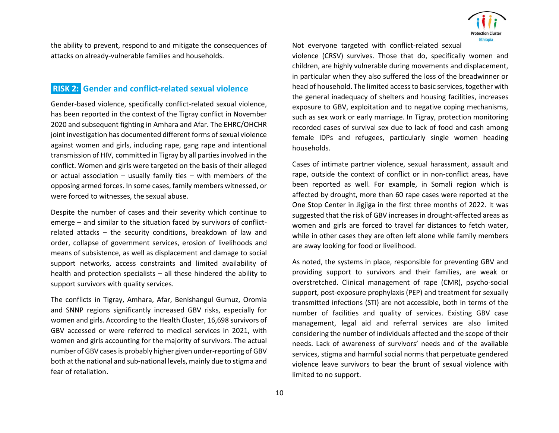

the ability to prevent, respond to and mitigate the consequences of attacks on already-vulnerable families and households.

# **RISK 2: Gender and conflict-related sexual violence**

Gender-based violence, specifically conflict-related sexual violence, has been reported in the context of the Tigray conflict in November 2020 and subsequent fighting in Amhara and Afar. The EHRC/OHCHR joint investigation has documented different forms of sexual violence against women and girls, including rape, gang rape and intentional transmission of HIV, committed in Tigray by all parties involved in the conflict. Women and girls were targeted on the basis of their alleged or actual association – usually family ties – with members of the opposing armed forces. In some cases, family members witnessed, or were forced to witnesses, the sexual abuse.

Despite the number of cases and their severity which continue to emerge – and similar to the situation faced by survivors of conflictrelated attacks – the security conditions, breakdown of law and order, collapse of government services, erosion of livelihoods and means of subsistence, as well as displacement and damage to social support networks, access constraints and limited availability of health and protection specialists – all these hindered the ability to support survivors with quality services.

The conflicts in Tigray, Amhara, Afar, Benishangul Gumuz, Oromia and SNNP regions significantly increased GBV risks, especially for women and girls. According to the Health Cluster, 16,698 survivors of GBV accessed or were referred to medical services in 2021, with women and girls accounting for the majority of survivors. The actual number of GBV cases is probably higher given under-reporting of GBV both at the national and sub-national levels, mainly due to stigma and fear of retaliation.

Not everyone targeted with conflict-related sexual

violence (CRSV) survives. Those that do, specifically women and children, are highly vulnerable during movements and displacement, in particular when they also suffered the loss of the breadwinner or head of household. The limited access to basic services, together with the general inadequacy of shelters and housing facilities, increases exposure to GBV, exploitation and to negative coping mechanisms, such as sex work or early marriage. In Tigray, protection monitoring recorded cases of survival sex due to lack of food and cash among female IDPs and refugees, particularly single women heading households.

Cases of intimate partner violence, sexual harassment, assault and rape, outside the context of conflict or in non-conflict areas, have been reported as well. For example, in Somali region which is affected by drought, more than 60 rape cases were reported at the One Stop Center in Jigjiga in the first three months of 2022. It was suggested that the risk of GBV increases in drought-affected areas as women and girls are forced to travel far distances to fetch water, while in other cases they are often left alone while family members are away looking for food or livelihood.

As noted, the systems in place, responsible for preventing GBV and providing support to survivors and their families, are weak or overstretched. Clinical management of rape (CMR), psycho-social support, post-exposure prophylaxis (PEP) and treatment for sexually transmitted infections (STI) are not accessible, both in terms of the number of facilities and quality of services. Existing GBV case management, legal aid and referral services are also limited considering the number of individuals affected and the scope of their needs. Lack of awareness of survivors' needs and of the available services, stigma and harmful social norms that perpetuate gendered violence leave survivors to bear the brunt of sexual violence with limited to no support.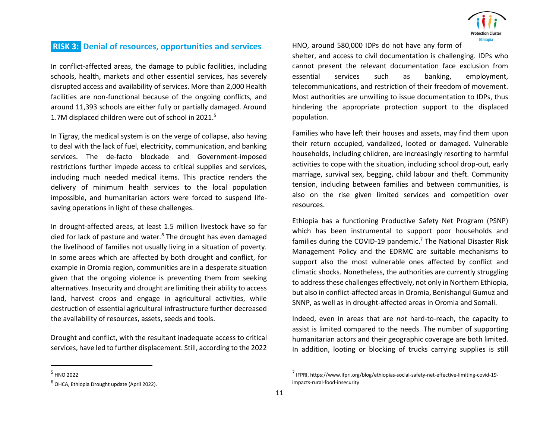

# **RISK 3: Denial of resources, opportunities and services**

In conflict-affected areas, the damage to public facilities, including schools, health, markets and other essential services, has severely disrupted access and availability of services. More than 2,000 Health facilities are non-functional because of the ongoing conflicts, and around 11,393 schools are either fully or partially damaged. Around 1.7M displaced children were out of school in 2021. 5

In Tigray, the medical system is on the verge of collapse, also having to deal with the lack of fuel, electricity, communication, and banking services. The de-facto blockade and Government-imposed restrictions further impede access to critical supplies and services, including much needed medical items. This practice renders the delivery of minimum health services to the local population impossible, and humanitarian actors were forced to suspend lifesaving operations in light of these challenges.

In drought-affected areas, at least 1.5 million livestock have so far died for lack of pasture and water*. <sup>6</sup>* The drought has even damaged the livelihood of families not usually living in a situation of poverty. In some areas which are affected by both drought and conflict, for example in Oromia region, communities are in a desperate situation given that the ongoing violence is preventing them from seeking alternatives. Insecurity and drought are limiting their ability to access land, harvest crops and engage in agricultural activities, while destruction of essential agricultural infrastructure further decreased the availability of resources, assets, seeds and tools.

Drought and conflict, with the resultant inadequate access to critical services, have led to further displacement. Still, according to the 2022 HNO, around 580,000 IDPs do not have any form of

shelter, and access to civil documentation is challenging. IDPs who cannot present the relevant documentation face exclusion from essential services such as banking, employment, telecommunications, and restriction of their freedom of movement. Most authorities are unwilling to issue documentation to IDPs, thus hindering the appropriate protection support to the displaced population.

Families who have left their houses and assets, may find them upon their return occupied, vandalized, looted or damaged. Vulnerable households, including children, are increasingly resorting to harmful activities to cope with the situation, including school drop-out, early marriage, survival sex, begging, child labour and theft. Community tension, including between families and between communities, is also on the rise given limited services and competition over resources.

Ethiopia has a functioning Productive Safety Net Program (PSNP) which has been instrumental to support poor households and families during the COVID-19 pandemic.<sup>7</sup> The National Disaster Risk Management Policy and the EDRMC are suitable mechanisms to support also the most vulnerable ones affected by conflict and climatic shocks. Nonetheless, the authorities are currently struggling to address these challenges effectively, not only in Northern Ethiopia, but also in conflict-affected areas in Oromia, Benishangul Gumuz and SNNP, as well as in drought-affected areas in Oromia and Somali.

Indeed, even in areas that are *not* hard-to-reach, the capacity to assist is limited compared to the needs. The number of supporting humanitarian actors and their geographic coverage are both limited. In addition, looting or blocking of trucks carrying supplies is still

<sup>7</sup> IFPRI, https://www.ifpri.org/blog/ethiopias-social-safety-net-effective-limiting-covid-19 impacts-rural-food-insecurity

<sup>&</sup>lt;sup>5</sup> HNO 2022

<sup>6</sup> OHCA, Ethiopia Drought update (April 2022).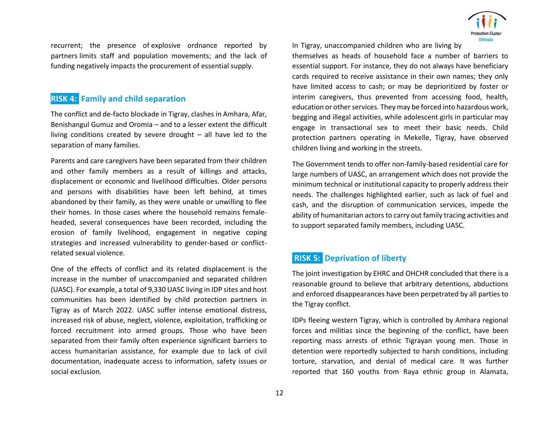

recurrent; the presence of explosive ordnance reported by partners limits staff and population movements; and the lack of funding negatively impacts the procurement of essential supply.

# **RISK 4: Family and child separation**

The conflict and de-facto blockade in Tigray, clashes in Amhara, Afar, Benishangul Gumuz and Oromia – and to a lesser extent the difficult living conditions created by severe drought – all have led to the separation of many families.

Parents and care caregivers have been separated from their children and other family members as a result of killings and attacks, displacement or economic and livelihood difficulties. Older persons and persons with disabilities have been left behind, at times abandoned by their family, as they were unable or unwilling to flee their homes. In those cases where the household remains femaleheaded, several consequences have been recorded, including the erosion of family livelihood, engagement in negative coping strategies and increased vulnerability to gender-based or conflictrelated sexual violence.

One of the effects of conflict and its related displacement is the increase in the number of unaccompanied and separated children (UASC). For example, a total of 9,330 UASC living in IDP sites and host communities has been identified by child protection partners in Tigray as of March 2022. UASC suffer intense emotional distress, increased risk of abuse, neglect, violence, exploitation, trafficking or forced recruitment into armed groups. Those who have been separated from their family often experience significant barriers to access humanitarian assistance, for example due to lack of civil documentation, inadequate access to information, safety issues or social exclusion.

In Tigray, unaccompanied children who are living by

themselves as heads of household face a number of barriers to essential support. For instance, they do not always have beneficiary cards required to receive assistance in their own names; they only have limited access to cash; or may be deprioritized by foster or interim caregivers, thus prevented from accessing food, health, education or other services. They may be forced into hazardous work, begging and illegal activities, while adolescent girls in particular may engage in transactional sex to meet their basic needs. Child protection partners operating in Mekelle, Tigray, have observed children living and working in the streets.

The Government tends to offer non-family-based residential care for large numbers of UASC, an arrangement which does not provide the minimum technical or institutional capacity to properly address their needs. The challenges highlighted earlier, such as lack of fuel and cash, and the disruption of communication services, impede the ability of humanitarian actors to carry out family tracing activities and to support separated family members, including UASC.

# **RISK 5: Deprivation of liberty**

The joint investigation by EHRC and OHCHR concluded that there is a reasonable ground to believe that arbitrary detentions, abductions and enforced disappearances have been perpetrated by all parties to the Tigray conflict.

IDPs fleeing western Tigray, which is controlled by Amhara regional forces and militias since the beginning of the conflict, have been reporting mass arrests of ethnic Tigrayan young men. Those in detention were reportedly subjected to harsh conditions, including torture, starvation, and denial of medical care. It was further reported that 160 youths from Raya ethnic group in Alamata,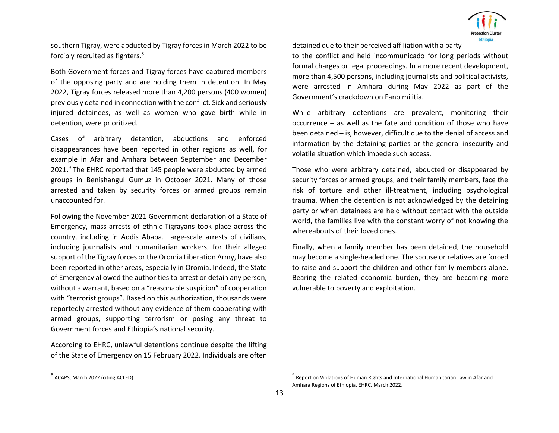

southern Tigray, were abducted by Tigray forces in March 2022 to be forcibly recruited as fighters.<sup>8</sup>

Both Government forces and Tigray forces have captured members of the opposing party and are holding them in detention. In May 2022, Tigray forces released more than 4,200 persons (400 women) previously detained in connection with the conflict. Sick and seriously injured detainees, as well as women who gave birth while in detention, were prioritized.

Cases of arbitrary detention, abductions and enforced disappearances have been reported in other regions as well, for example in Afar and Amhara between September and December 2021.<sup>9</sup> The EHRC reported that 145 people were abducted by armed groups in Benishangul Gumuz in October 2021. Many of those arrested and taken by security forces or armed groups remain unaccounted for.

Following the November 2021 Government declaration of a State of Emergency, mass arrests of ethnic Tigrayans took place across the country, including in Addis Ababa. Large-scale arrests of civilians, including journalists and humanitarian workers, for their alleged support of the Tigray forces or the Oromia Liberation Army, have also been reported in other areas, especially in Oromia. Indeed, the State of Emergency allowed the authorities to arrest or detain any person, without a warrant, based on a "reasonable suspicion" of cooperation with "terrorist groups". Based on this authorization, thousands were reportedly arrested without any evidence of them cooperating with armed groups, supporting terrorism or posing any threat to Government forces and Ethiopia's national security.

According to EHRC, unlawful detentions continue despite the lifting of the State of Emergency on 15 February 2022. Individuals are often detained due to their perceived affiliation with a party

to the conflict and held incommunicado for long periods without formal charges or legal proceedings. In a more recent development, more than 4,500 persons, including journalists and political activists, were arrested in Amhara during May 2022 as part of the Government's crackdown on Fano militia.

While arbitrary detentions are prevalent, monitoring their occurrence – as well as the fate and condition of those who have been detained – is, however, difficult due to the denial of access and information by the detaining parties or the general insecurity and volatile situation which impede such access.

Those who were arbitrary detained, abducted or disappeared by security forces or armed groups, and their family members, face the risk of torture and other ill-treatment, including psychological trauma. When the detention is not acknowledged by the detaining party or when detainees are held without contact with the outside world, the families live with the constant worry of not knowing the whereabouts of their loved ones.

Finally, when a family member has been detained, the household may become a single-headed one. The spouse or relatives are forced to raise and support the children and other family members alone. Bearing the related economic burden, they are becoming more vulnerable to poverty and exploitation.

<sup>8</sup> ACAPS, March 2022 (citing ACLED).

<sup>&</sup>lt;sup>9</sup> Report on Violations of Human Rights and International Humanitarian Law in Afar and Amhara Regions of Ethiopia, EHRC, March 2022.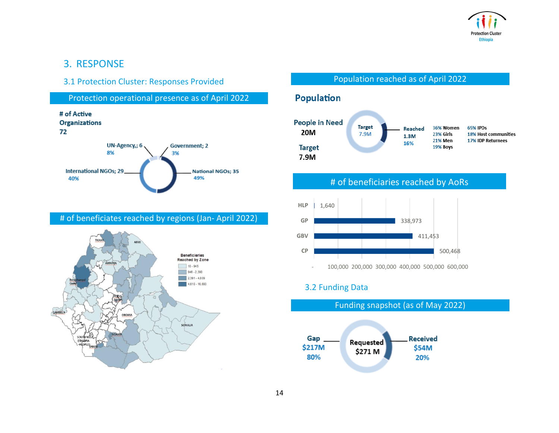

# 3. RESPONSE

### 3.1 Protection Cluster: Responses Provided

Protection operational presence as of April 2022



### # of beneficiates reached by regions (Jan- April 2022)



### Population reached as of April 2022

# **Population**



# # of beneficiaries reached by AoRs



# 3.2 Funding Data

Funding snapshot (as of May 2022)

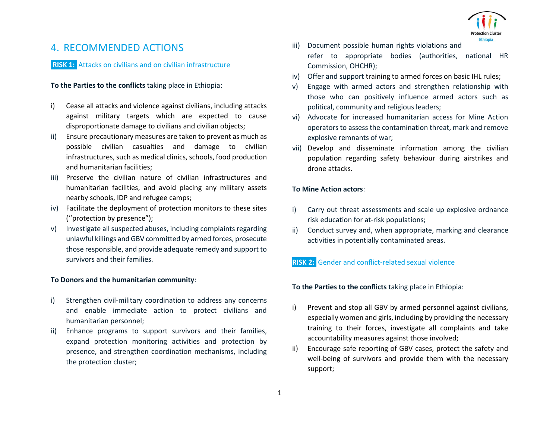

# 4. RECOMMENDED ACTIONS

**RISK 1:** Attacks on civilians and on civilian infrastructure

#### **To the Parties to the conflicts** taking place in Ethiopia:

- i) Cease all attacks and violence against civilians, including attacks against military targets which are expected to cause disproportionate damage to civilians and civilian objects;
- ii) Ensure precautionary measures are taken to prevent as much as possible civilian casualties and damage to civilian infrastructures, such as medical clinics, schools, food production and humanitarian facilities;
- iii) Preserve the civilian nature of civilian infrastructures and humanitarian facilities, and avoid placing any military assets nearby schools, IDP and refugee camps;
- iv) Facilitate the deployment of protection monitors to these sites (''protection by presence");
- v) Investigate all suspected abuses, including complaints regarding unlawful killings and GBV committed by armed forces, prosecute those responsible, and provide adequate remedy and support to survivors and their families.

#### **To Donors and the humanitarian community**:

- i) Strengthen civil-military coordination to address any concerns and enable immediate action to protect civilians and humanitarian personnel;
- ii) Enhance programs to support survivors and their families, expand protection monitoring activities and protection by presence, and strengthen coordination mechanisms, including the protection cluster;
- iii) Document possible human rights violations and refer to appropriate bodies (authorities, national HR Commission, OHCHR);
- iv) Offer and support training to armed forces on basic IHL rules;
- v) Engage with armed actors and strengthen relationship with those who can positively influence armed actors such as political, community and religious leaders;
- vi) Advocate for increased humanitarian access for Mine Action operators to assess the contamination threat, mark and remove explosive remnants of war;
- vii) Develop and disseminate information among the civilian population regarding safety behaviour during airstrikes and drone attacks.

#### **To Mine Action actors**:

- i) Carry out threat assessments and scale up explosive ordnance risk education for at-risk populations;
- ii) Conduct survey and, when appropriate, marking and clearance activities in potentially contaminated areas.

### **RISK 2:** Gender and conflict-related sexual violence

**To the Parties to the conflicts** taking place in Ethiopia:

- i) Prevent and stop all GBV by armed personnel against civilians, especially women and girls, including by providing the necessary training to their forces, investigate all complaints and take accountability measures against those involved;
- ii) Encourage safe reporting of GBV cases, protect the safety and well-being of survivors and provide them with the necessary support;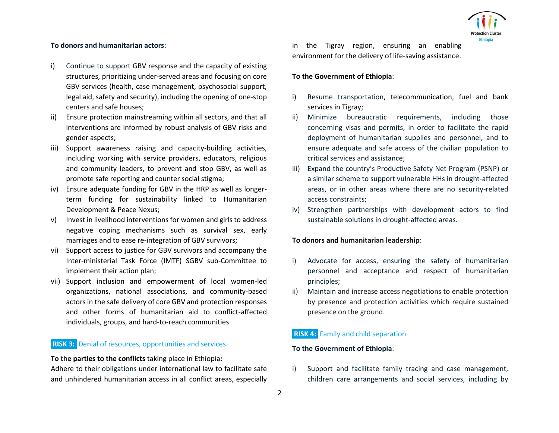#### **To donors and humanitarian actors**:

- i) Continue to support GBV response and the capacity of existing structures, prioritizing under-served areas and focusing on core GBV services (health, case management, psychosocial support, legal aid, safety and security), including the opening of one-stop centers and safe houses;
- ii) Ensure protection mainstreaming within all sectors, and that all interventions are informed by robust analysis of GBV risks and gender aspects;
- iii) Support awareness raising and capacity-building activities, including working with service providers, educators, religious and community leaders, to prevent and stop GBV, as well as promote safe reporting and counter social stigma;
- iv) Ensure adequate funding for GBV in the HRP as well as longerterm funding for sustainability linked to Humanitarian Development & Peace Nexus;
- v) Invest in livelihood interventions for women and girls to address negative coping mechanisms such as survival sex, early marriages and to ease re-integration of GBV survivors;
- vi) Support access to justice for GBV survivors and accompany the Inter-ministerial Task Force (IMTF) SGBV sub-Committee to implement their action plan;
- vii) Support inclusion and empowerment of local women-led organizations, national associations, and community-based actors in the safe delivery of core GBV and protection responses and other forms of humanitarian aid to conflict-affected individuals, groups, and hard-to-reach communities.

### **RISK 3:** Denial of resources, opportunities and services

#### **To the parties to the conflicts** taking place in Ethiopia**:**

Adhere to their obligations under international law to facilitate safe and unhindered humanitarian access in all conflict areas, especially in the Tigray region, ensuring an enabling environment for the delivery of life-saving assistance.

#### **To the Government of Ethiopia**:

- i) Resume transportation, telecommunication, fuel and bank services in Tigray;
- ii) Minimize bureaucratic requirements, including those concerning visas and permits, in order to facilitate the rapid deployment of humanitarian supplies and personnel, and to ensure adequate and safe access of the civilian population to critical services and assistance;
- iii) Expand the country's Productive Safety Net Program (PSNP) or a similar scheme to support vulnerable HHs in drought-affected areas, or in other areas where there are no security-related access constraints;
- iv) Strengthen partnerships with development actors to find sustainable solutions in drought-affected areas.

#### **To donors and humanitarian leadership**:

- i) Advocate for access, ensuring the safety of humanitarian personnel and acceptance and respect of humanitarian principles;
- ii) Maintain and increase access negotiations to enable protection by presence and protection activities which require sustained presence on the ground.

### **RISK 4:** Family and child separation

#### **To the Government of Ethiopia**:

i) Support and facilitate family tracing and case management, children care arrangements and social services, including by